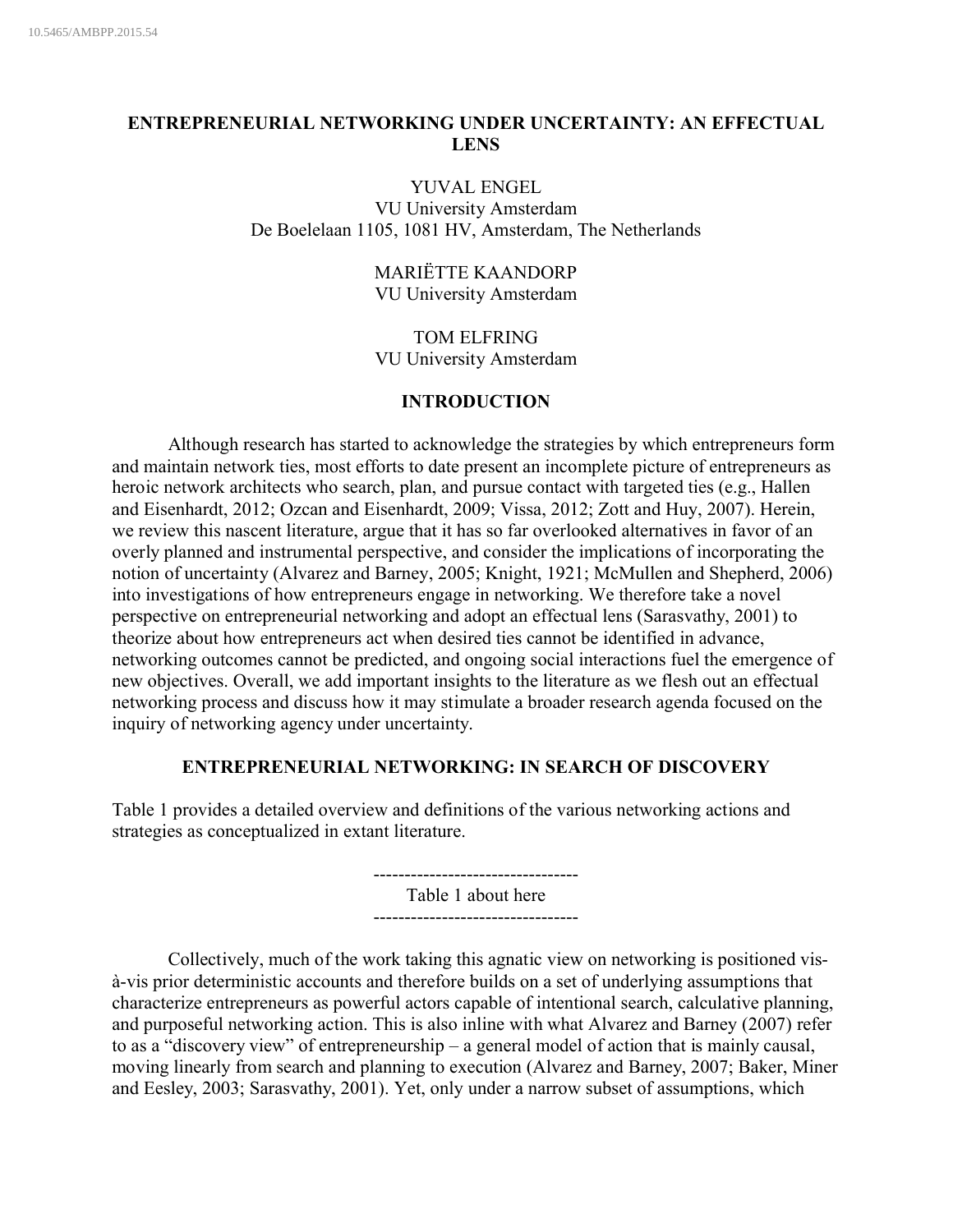# **ENTREPRENEURIAL NETWORKING UNDER UNCERTAINTY: AN EFFECTUAL LENS**

#### YUVAL ENGEL

VU University Amsterdam De Boelelaan 1105, 1081 HV, Amsterdam, The Netherlands

### MARIËTTE KAANDORP VU University Amsterdam

TOM ELFRING VU University Amsterdam

### **INTRODUCTION**

Although research has started to acknowledge the strategies by which entrepreneurs form and maintain network ties, most efforts to date present an incomplete picture of entrepreneurs as heroic network architects who search, plan, and pursue contact with targeted ties (e.g., Hallen and Eisenhardt, 2012; Ozcan and Eisenhardt, 2009; Vissa, 2012; Zott and Huy, 2007). Herein, we review this nascent literature, argue that it has so far overlooked alternatives in favor of an overly planned and instrumental perspective, and consider the implications of incorporating the notion of uncertainty (Alvarez and Barney, 2005; Knight, 1921; McMullen and Shepherd, 2006) into investigations of how entrepreneurs engage in networking. We therefore take a novel perspective on entrepreneurial networking and adopt an effectual lens (Sarasvathy, 2001) to theorize about how entrepreneurs act when desired ties cannot be identified in advance, networking outcomes cannot be predicted, and ongoing social interactions fuel the emergence of new objectives. Overall, we add important insights to the literature as we flesh out an effectual networking process and discuss how it may stimulate a broader research agenda focused on the inquiry of networking agency under uncertainty.

### **ENTREPRENEURIAL NETWORKING: IN SEARCH OF DISCOVERY**

Table 1 provides a detailed overview and definitions of the various networking actions and strategies as conceptualized in extant literature.

> --------------------------------- Table 1 about here ---------------------------------

Collectively, much of the work taking this agnatic view on networking is positioned visà-vis prior deterministic accounts and therefore builds on a set of underlying assumptions that characterize entrepreneurs as powerful actors capable of intentional search, calculative planning, and purposeful networking action. This is also inline with what Alvarez and Barney (2007) refer to as a "discovery view" of entrepreneurship – a general model of action that is mainly causal, moving linearly from search and planning to execution (Alvarez and Barney, 2007; Baker, Miner and Eesley, 2003; Sarasvathy, 2001). Yet, only under a narrow subset of assumptions, which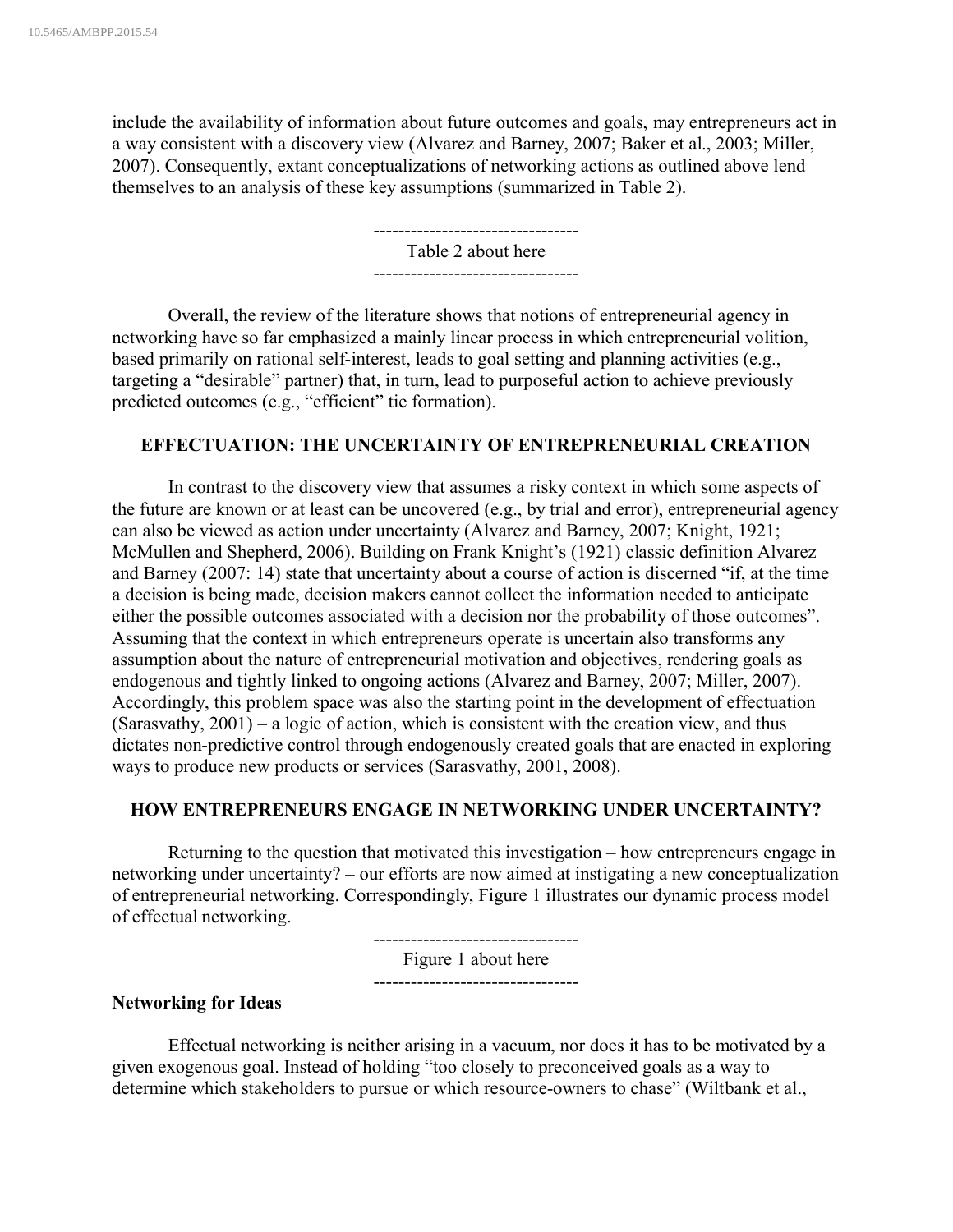include the availability of information about future outcomes and goals, may entrepreneurs act in a way consistent with a discovery view (Alvarez and Barney, 2007; Baker et al., 2003; Miller, 2007). Consequently, extant conceptualizations of networking actions as outlined above lend themselves to an analysis of these key assumptions (summarized in Table 2).

> --------------------------------- Table 2 about here ---------------------------------

Overall, the review of the literature shows that notions of entrepreneurial agency in networking have so far emphasized a mainly linear process in which entrepreneurial volition, based primarily on rational self-interest, leads to goal setting and planning activities (e.g., targeting a "desirable" partner) that, in turn, lead to purposeful action to achieve previously predicted outcomes (e.g., "efficient" tie formation).

### **EFFECTUATION: THE UNCERTAINTY OF ENTREPRENEURIAL CREATION**

In contrast to the discovery view that assumes a risky context in which some aspects of the future are known or at least can be uncovered (e.g., by trial and error), entrepreneurial agency can also be viewed as action under uncertainty (Alvarez and Barney, 2007; Knight, 1921; McMullen and Shepherd, 2006). Building on Frank Knight's (1921) classic definition Alvarez and Barney (2007: 14) state that uncertainty about a course of action is discerned "if, at the time a decision is being made, decision makers cannot collect the information needed to anticipate either the possible outcomes associated with a decision nor the probability of those outcomes". Assuming that the context in which entrepreneurs operate is uncertain also transforms any assumption about the nature of entrepreneurial motivation and objectives, rendering goals as endogenous and tightly linked to ongoing actions (Alvarez and Barney, 2007; Miller, 2007). Accordingly, this problem space was also the starting point in the development of effectuation (Sarasvathy, 2001) – a logic of action, which is consistent with the creation view, and thus dictates non-predictive control through endogenously created goals that are enacted in exploring ways to produce new products or services (Sarasvathy, 2001, 2008).

#### **HOW ENTREPRENEURS ENGAGE IN NETWORKING UNDER UNCERTAINTY?**

Returning to the question that motivated this investigation – how entrepreneurs engage in networking under uncertainty? – our efforts are now aimed at instigating a new conceptualization of entrepreneurial networking. Correspondingly, Figure 1 illustrates our dynamic process model of effectual networking.

> --------------------------------- Figure 1 about here ---------------------------------

#### **Networking for Ideas**

Effectual networking is neither arising in a vacuum, nor does it has to be motivated by a given exogenous goal. Instead of holding "too closely to preconceived goals as a way to determine which stakeholders to pursue or which resource-owners to chase" (Wiltbank et al.,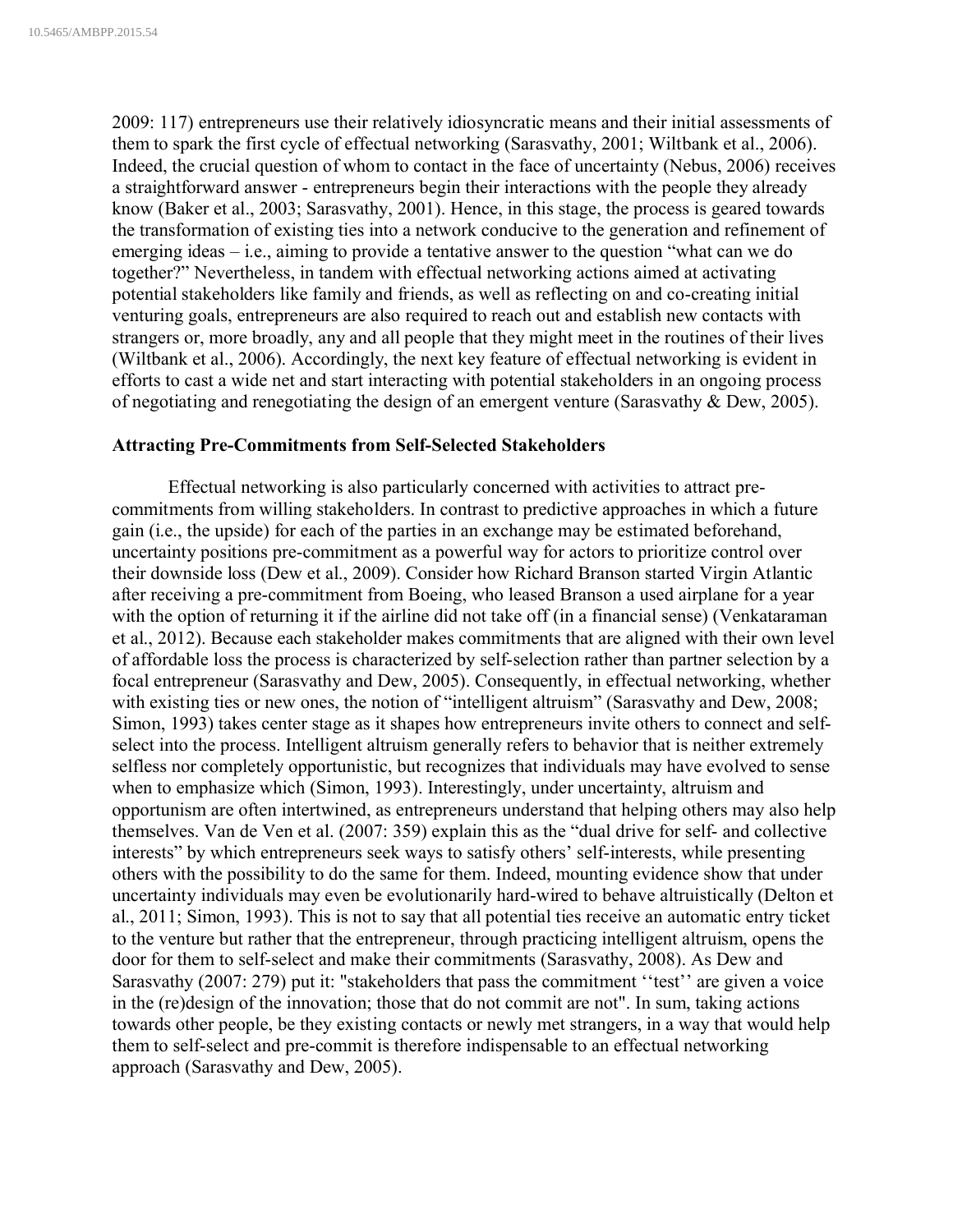2009: 117) entrepreneurs use their relatively idiosyncratic means and their initial assessments of them to spark the first cycle of effectual networking (Sarasvathy, 2001; Wiltbank et al., 2006). Indeed, the crucial question of whom to contact in the face of uncertainty (Nebus, 2006) receives a straightforward answer - entrepreneurs begin their interactions with the people they already know (Baker et al., 2003; Sarasvathy, 2001). Hence, in this stage, the process is geared towards the transformation of existing ties into a network conducive to the generation and refinement of emerging ideas – i.e., aiming to provide a tentative answer to the question "what can we do together?" Nevertheless, in tandem with effectual networking actions aimed at activating potential stakeholders like family and friends, as well as reflecting on and co-creating initial venturing goals, entrepreneurs are also required to reach out and establish new contacts with strangers or, more broadly, any and all people that they might meet in the routines of their lives (Wiltbank et al., 2006). Accordingly, the next key feature of effectual networking is evident in efforts to cast a wide net and start interacting with potential stakeholders in an ongoing process of negotiating and renegotiating the design of an emergent venture (Sarasvathy & Dew, 2005).

### **Attracting Pre-Commitments from Self-Selected Stakeholders**

Effectual networking is also particularly concerned with activities to attract precommitments from willing stakeholders. In contrast to predictive approaches in which a future gain (i.e., the upside) for each of the parties in an exchange may be estimated beforehand, uncertainty positions pre-commitment as a powerful way for actors to prioritize control over their downside loss (Dew et al., 2009). Consider how Richard Branson started Virgin Atlantic after receiving a pre-commitment from Boeing, who leased Branson a used airplane for a year with the option of returning it if the airline did not take off (in a financial sense) (Venkataraman et al., 2012). Because each stakeholder makes commitments that are aligned with their own level of affordable loss the process is characterized by self-selection rather than partner selection by a focal entrepreneur (Sarasvathy and Dew, 2005). Consequently, in effectual networking, whether with existing ties or new ones, the notion of "intelligent altruism" (Sarasvathy and Dew, 2008; Simon, 1993) takes center stage as it shapes how entrepreneurs invite others to connect and selfselect into the process. Intelligent altruism generally refers to behavior that is neither extremely selfless nor completely opportunistic, but recognizes that individuals may have evolved to sense when to emphasize which (Simon, 1993). Interestingly, under uncertainty, altruism and opportunism are often intertwined, as entrepreneurs understand that helping others may also help themselves. Van de Ven et al. (2007: 359) explain this as the "dual drive for self- and collective interests" by which entrepreneurs seek ways to satisfy others' self-interests, while presenting others with the possibility to do the same for them. Indeed, mounting evidence show that under uncertainty individuals may even be evolutionarily hard-wired to behave altruistically (Delton et al., 2011; Simon, 1993). This is not to say that all potential ties receive an automatic entry ticket to the venture but rather that the entrepreneur, through practicing intelligent altruism, opens the door for them to self-select and make their commitments (Sarasvathy, 2008). As Dew and Sarasvathy (2007: 279) put it: "stakeholders that pass the commitment "test" are given a voice in the (re)design of the innovation; those that do not commit are not". In sum, taking actions towards other people, be they existing contacts or newly met strangers, in a way that would help them to self-select and pre-commit is therefore indispensable to an effectual networking approach (Sarasvathy and Dew, 2005).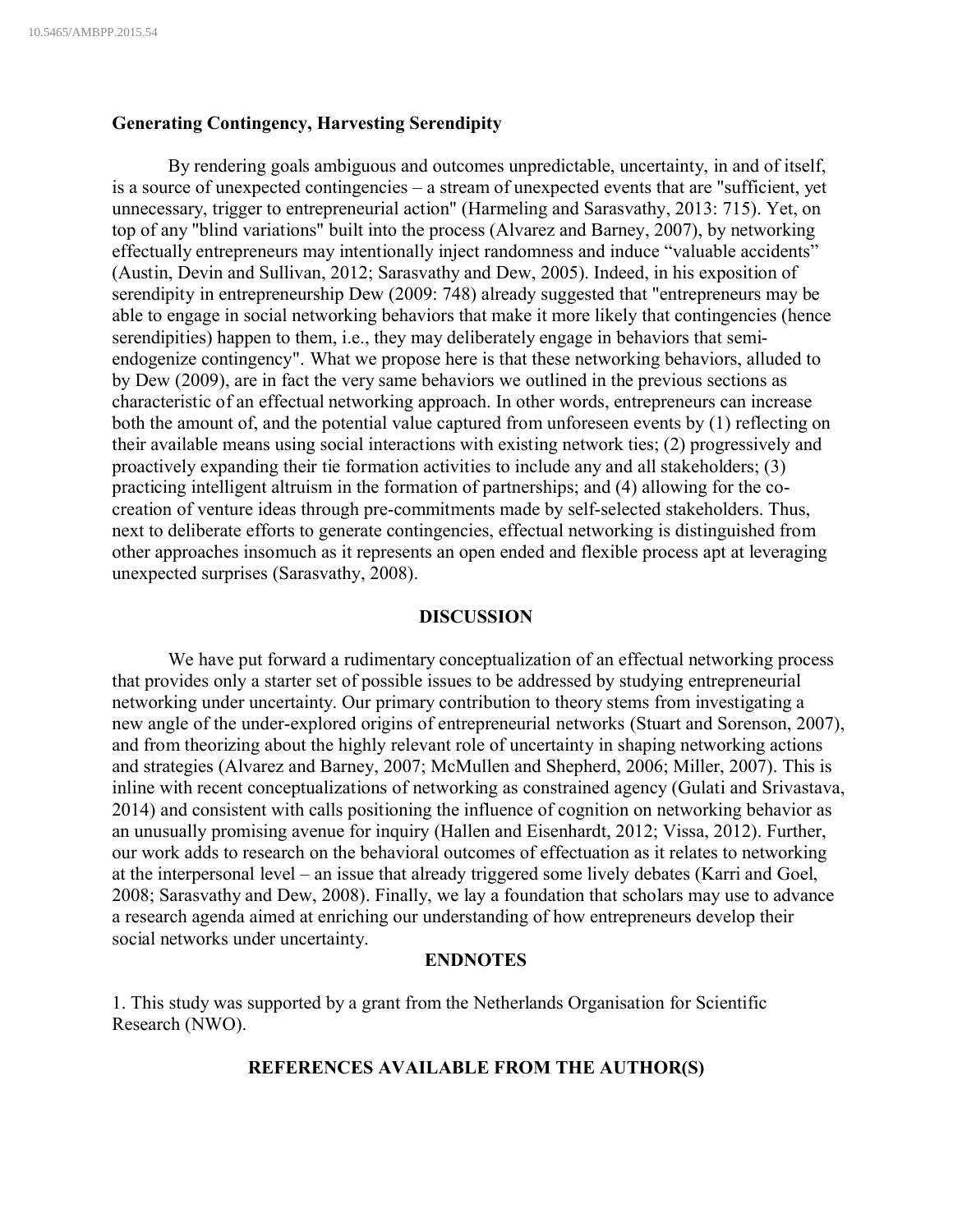### **Generating Contingency, Harvesting Serendipity**

By rendering goals ambiguous and outcomes unpredictable, uncertainty, in and of itself, is a source of unexpected contingencies – a stream of unexpected events that are "sufficient, yet unnecessary, trigger to entrepreneurial action" (Harmeling and Sarasvathy, 2013: 715). Yet, on top of any "blind variations" built into the process (Alvarez and Barney, 2007), by networking effectually entrepreneurs may intentionally inject randomness and induce "valuable accidents" (Austin, Devin and Sullivan, 2012; Sarasvathy and Dew, 2005). Indeed, in his exposition of serendipity in entrepreneurship Dew (2009: 748) already suggested that "entrepreneurs may be able to engage in social networking behaviors that make it more likely that contingencies (hence serendipities) happen to them, i.e., they may deliberately engage in behaviors that semiendogenize contingency". What we propose here is that these networking behaviors, alluded to by Dew (2009), are in fact the very same behaviors we outlined in the previous sections as characteristic of an effectual networking approach. In other words, entrepreneurs can increase both the amount of, and the potential value captured from unforeseen events by (1) reflecting on their available means using social interactions with existing network ties; (2) progressively and proactively expanding their tie formation activities to include any and all stakeholders; (3) practicing intelligent altruism in the formation of partnerships; and (4) allowing for the cocreation of venture ideas through pre-commitments made by self-selected stakeholders. Thus, next to deliberate efforts to generate contingencies, effectual networking is distinguished from other approaches insomuch as it represents an open ended and flexible process apt at leveraging unexpected surprises (Sarasvathy, 2008).

#### **DISCUSSION**

We have put forward a rudimentary conceptualization of an effectual networking process that provides only a starter set of possible issues to be addressed by studying entrepreneurial networking under uncertainty. Our primary contribution to theory stems from investigating a new angle of the under-explored origins of entrepreneurial networks (Stuart and Sorenson, 2007), and from theorizing about the highly relevant role of uncertainty in shaping networking actions and strategies (Alvarez and Barney, 2007; McMullen and Shepherd, 2006; Miller, 2007). This is inline with recent conceptualizations of networking as constrained agency (Gulati and Srivastava, 2014) and consistent with calls positioning the influence of cognition on networking behavior as an unusually promising avenue for inquiry (Hallen and Eisenhardt, 2012; Vissa, 2012). Further, our work adds to research on the behavioral outcomes of effectuation as it relates to networking at the interpersonal level – an issue that already triggered some lively debates (Karri and Goel, 2008; Sarasvathy and Dew, 2008). Finally, we lay a foundation that scholars may use to advance a research agenda aimed at enriching our understanding of how entrepreneurs develop their social networks under uncertainty.

## **ENDNOTES**

1. This study was supported by a grant from the Netherlands Organisation for Scientific Research (NWO).

#### **REFERENCES AVAILABLE FROM THE AUTHOR(S)**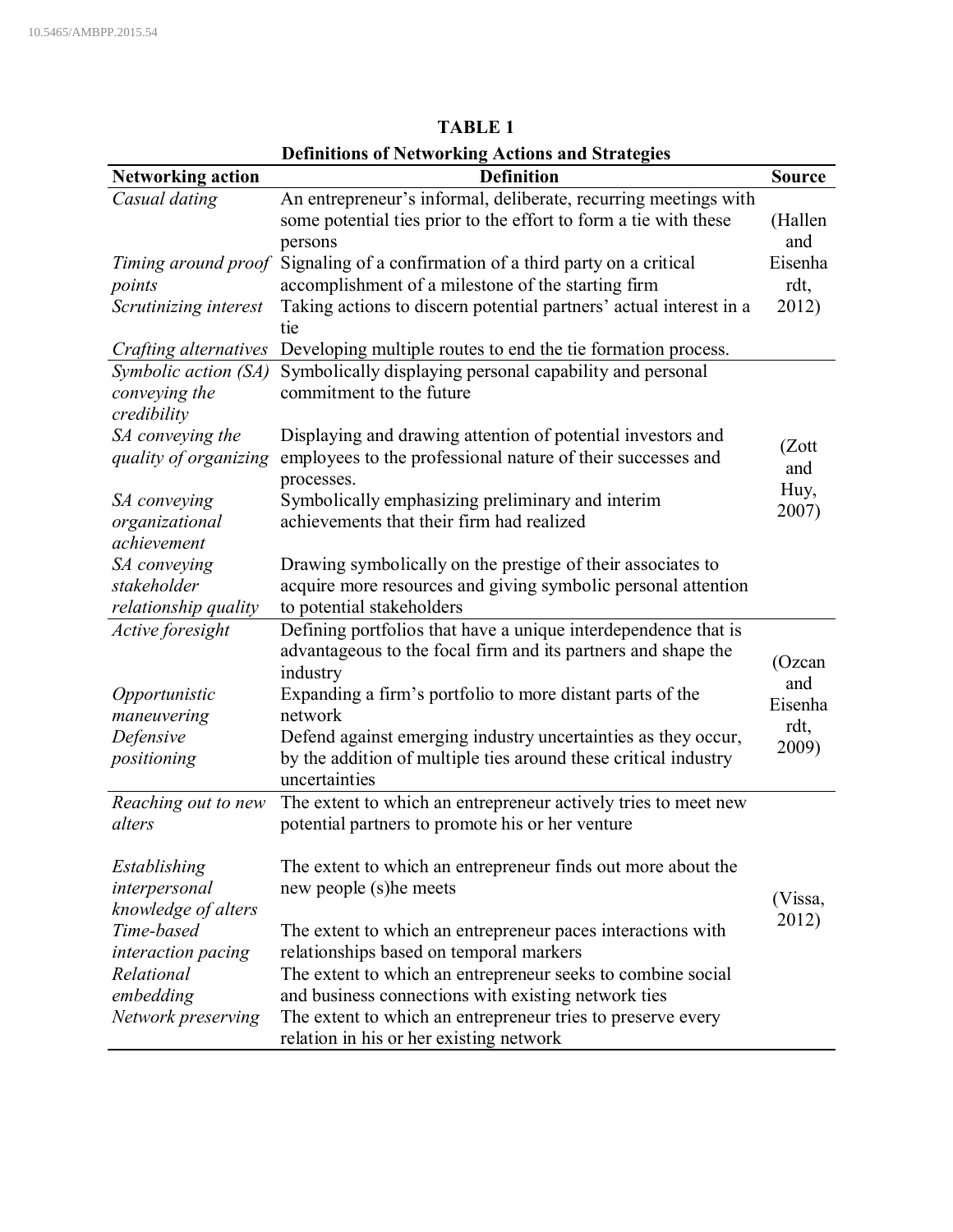| <b>Definitions of Networking Actions and Strategies</b> |                                                                                                                                                |                |  |  |  |
|---------------------------------------------------------|------------------------------------------------------------------------------------------------------------------------------------------------|----------------|--|--|--|
| <b>Networking action</b>                                | <b>Definition</b>                                                                                                                              | <b>Source</b>  |  |  |  |
| Casual dating                                           | An entrepreneur's informal, deliberate, recurring meetings with<br>some potential ties prior to the effort to form a tie with these<br>persons | (Hallen<br>and |  |  |  |
| Timing around proof                                     | Signaling of a confirmation of a third party on a critical                                                                                     | Eisenha        |  |  |  |
| points                                                  | accomplishment of a milestone of the starting firm                                                                                             | rdt,           |  |  |  |
| Scrutinizing interest                                   | Taking actions to discern potential partners' actual interest in a<br>tie                                                                      | 2012)          |  |  |  |
| Crafting alternatives                                   | Developing multiple routes to end the tie formation process.                                                                                   |                |  |  |  |
| Symbolic action (SA)<br>conveying the<br>credibility    | Symbolically displaying personal capability and personal<br>commitment to the future                                                           |                |  |  |  |
| SA conveying the<br>quality of organizing               | Displaying and drawing attention of potential investors and<br>employees to the professional nature of their successes and<br>processes.       | (Zott<br>and   |  |  |  |
| SA conveying<br>organizational<br>achievement           | Symbolically emphasizing preliminary and interim<br>achievements that their firm had realized                                                  | Huy,<br>2007)  |  |  |  |
| SA conveying                                            | Drawing symbolically on the prestige of their associates to                                                                                    |                |  |  |  |
| stakeholder                                             | acquire more resources and giving symbolic personal attention                                                                                  |                |  |  |  |
| relationship quality                                    | to potential stakeholders                                                                                                                      |                |  |  |  |
| Active foresight                                        | Defining portfolios that have a unique interdependence that is<br>advantageous to the focal firm and its partners and shape the<br>industry    | (Ozcan         |  |  |  |
| Opportunistic<br>maneuvering                            | Expanding a firm's portfolio to more distant parts of the<br>network                                                                           | and<br>Eisenha |  |  |  |
| Defensive                                               | Defend against emerging industry uncertainties as they occur,                                                                                  | rdt,           |  |  |  |
| positioning                                             | by the addition of multiple ties around these critical industry<br>uncertainties                                                               | 2009)          |  |  |  |
| Reaching out to new                                     | The extent to which an entrepreneur actively tries to meet new                                                                                 |                |  |  |  |
| alters                                                  | potential partners to promote his or her venture                                                                                               |                |  |  |  |
| Establishing                                            | The extent to which an entrepreneur finds out more about the                                                                                   |                |  |  |  |
| interpersonal<br>knowledge of alters                    | new people (s) he meets                                                                                                                        | (Vissa,        |  |  |  |
| Time-based                                              | The extent to which an entrepreneur paces interactions with                                                                                    | 2012)          |  |  |  |
| interaction pacing                                      | relationships based on temporal markers                                                                                                        |                |  |  |  |
| Relational                                              | The extent to which an entrepreneur seeks to combine social                                                                                    |                |  |  |  |
| embedding                                               | and business connections with existing network ties                                                                                            |                |  |  |  |
| Network preserving                                      | The extent to which an entrepreneur tries to preserve every<br>relation in his or her existing network                                         |                |  |  |  |

**TABLE 1**